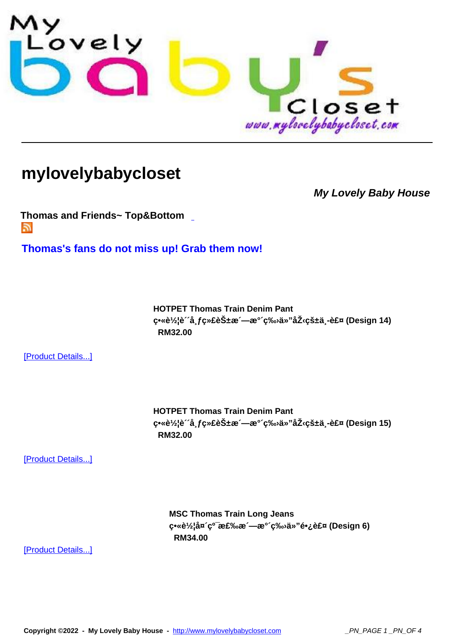

## **[mylovelybabycloset](http://www.mylovelybabycloset.com)**

**My Lovely Baby House**

**Thomas and Friends~ Top&Bottom**  Г.

**[Thomas](index.php?option=com_virtuemart&page=shop.feed&category_id=24)'[s fans do not miss up! Gra](index.php?option=com_virtuemart&page=shop.feed&category_id=24)b them now!**

**HOTPET Thomas Train Denim Pant**  $\mathbf{c} \cdot \hat{\mathbf{c}} / 2$ iè a fc»£èбæ —æ° c‰ä»"åŽ cš±ä -裤 (Design 14)  **RM32.00** 

[Product Details...]

**HOTPET Thomas Train Denim Pant**  $\frac{1}{2}$ e<sup>x</sup>è<sup>1</sup>/<sub>2</sub>lè<sup>2</sup>a, $\frac{1}{2}$ ç<sup>x</sup>**£èŠ**±æ ´—æ° ´ç‰ä»"压çš±ä¸-裤 (Design 15)  **RM32.00** 

[Product Details...]

**MSC Thomas Train Long Jeans**  $\mathbf{c} \cdot \mathbf{e} \cdot \mathbf{e}^2$ a  $\mathbf{c} \cdot \mathbf{e} \cdot \mathbf{e}$  (Design 6)  **RM34.00** 

[Product Details...]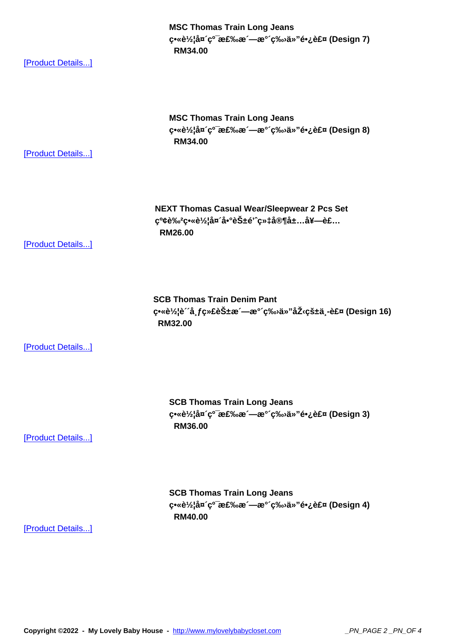(Pasign *i) او چې*«e»a¤ c»a» c»a» c  **RM34.00** 

[Product Details...]

**MSC Thomas Train Long Jeans**  $\mathbf{c} \cdot \mathbf{c} \cdot \mathbf{c}'$ a (Design 8)  **RM34.00** 

[Product Details...]

**NEXT Thomas Casual Wear/Sleepwear 2 Pcs Set** 红è‰<sup>2</sup>畫车头啰花é'^织家居套装  **RM26.00** 

[Product Details...]

**SCB Thomas Train Denim Pant**  $c$ <sup>•</sup>«è½lè ´å f绣花æ ´—æ° ´ç‰à»"åŽ cš±ä -裤 (Design 16)  **RM32.00** 

[Product Details...]

**SCB Thomas Train Long Jeans**  $\mathbf{S} \cdot \mathbf{S}$ ελίδα ζοταελώα - α<sup>ο ζοχ</sup>ω ä» "鷿裤 (Design 3)  **RM36.00** 

[Product Details...]

**SCB Thomas Train Long Jeans**  $c^{\bullet}$ «è¼å¤´ $c^{\sigma}$ 棉æ´—æ°´ $c^{\phi}$ Ȋ»"é $\epsilon$ ¿è£¤ (Design 4)  **RM40.00** 

[Product Details...]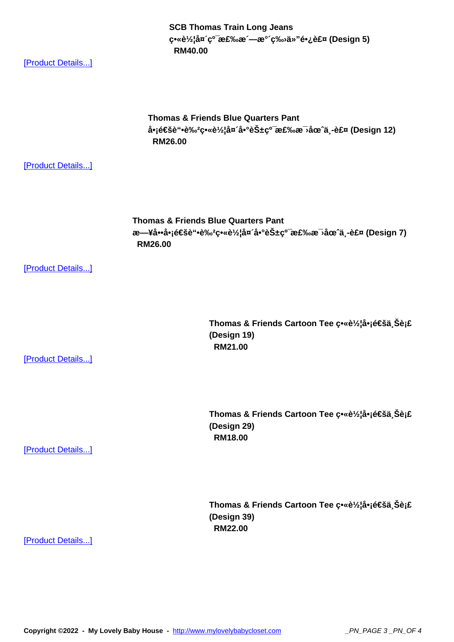erke½ia¤ ç° æ£‰æ —æ<sup>-</sup> ç‰≀a»<sup>..</sup>erخe±¤ (Design 5)  **RM40.00** 

[Product Details...]

**Thomas & Friends Blue Quarters Pant** 啡通è"•è‰<sup>2</sup>畫车头啰花ç<sup>o−</sup>棉æ∋圈ä¸-裤 (Design 12)  **RM26.00** 

[Product Details...]

**Thomas & Friends Blue Quarters Pant** 日啕å•j通è"•è‰<sup>2</sup>畫车头啰花ç<sup>o−</sup>棉毛圈ä¸-裤 (Design 7)  **RM26.00** 

[Product Details...]

[Product Details...]

Thomas & Friends Cartoon Tee ç•«è1/<sub>2</sub>lå•j通ä Šèj£ **(Design 19) RM21.00** 

Thomas & Friends Cartoon Tee ç<sup>•</sup>«è1/<sub>2</sub>¦å•¡é€šä¸Šè¡£ **(Design 29) RM18.00** 

[Product Details...]

Thomas & Friends Cartoon Tee c•«è1/<sub>2</sub>¦å•¡é€šä Šè¡£ **(Design 39) RM22.00** 

[Product Details...]